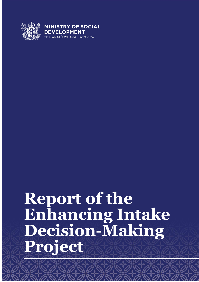

# **Report of the Enhancing Intake Decision-Making Project**

Report of the Enhancing Intake Decision-Making Project 1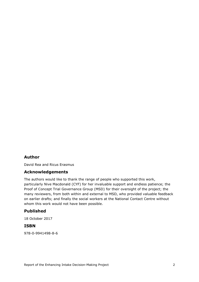#### **Author**

David Rea and Ricus Erasmus

#### **Acknowledgements**

The authors would like to thank the range of people who supported this work, particularly Nive Macdonald (CYF) for her invaluable support and endless patience; the Proof of Concept Trial Governance Group (MSD) for their oversight of the project; the many reviewers, from both within and external to MSD, who provided valuable feedback on earlier drafts; and finally the social workers at the National Contact Centre without whom this work would not have been possible.

#### **Published**

18 October 2017

#### **ISBN**

978-0-9941498-8-6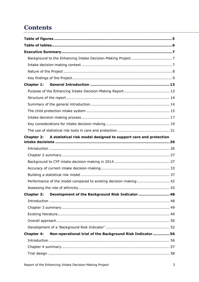# **Contents**

| Chapter 1:        |                                                                             |  |
|-------------------|-----------------------------------------------------------------------------|--|
|                   |                                                                             |  |
|                   |                                                                             |  |
|                   |                                                                             |  |
|                   |                                                                             |  |
|                   |                                                                             |  |
|                   |                                                                             |  |
|                   |                                                                             |  |
|                   | Chapter 2: A statistical risk model designed to support care and protection |  |
|                   |                                                                             |  |
|                   |                                                                             |  |
|                   |                                                                             |  |
|                   |                                                                             |  |
|                   |                                                                             |  |
|                   |                                                                             |  |
|                   | Performance of the model compared to existing decision-making  42           |  |
|                   |                                                                             |  |
| <b>Chapter 3:</b> | Development of the Background Risk Indicator  48                            |  |
|                   |                                                                             |  |
|                   |                                                                             |  |
|                   |                                                                             |  |
|                   |                                                                             |  |
|                   |                                                                             |  |
| <b>Chapter 4:</b> | Non-operational trial of the Background Risk Indicator 56                   |  |
|                   |                                                                             |  |
|                   |                                                                             |  |
|                   |                                                                             |  |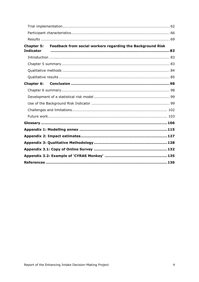| <b>Indicator</b>  | Chapter 5: Feedback from social workers regarding the Background Risk |  |
|-------------------|-----------------------------------------------------------------------|--|
|                   |                                                                       |  |
|                   |                                                                       |  |
|                   |                                                                       |  |
|                   |                                                                       |  |
| <b>Chapter 6:</b> |                                                                       |  |
|                   |                                                                       |  |
|                   |                                                                       |  |
|                   |                                                                       |  |
|                   |                                                                       |  |
|                   |                                                                       |  |
|                   |                                                                       |  |
|                   |                                                                       |  |
|                   |                                                                       |  |
|                   |                                                                       |  |
|                   |                                                                       |  |
|                   |                                                                       |  |
|                   |                                                                       |  |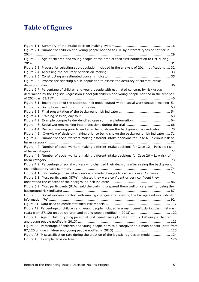# <span id="page-4-0"></span>**Table of figures**

| Figure 2.1: Number of children and young people notified to CYF by different types of notifier in     |
|-------------------------------------------------------------------------------------------------------|
|                                                                                                       |
| Figure 2.2: Age of children and young people at the time of their first notification to CYF during    |
|                                                                                                       |
| Figure 2.3: Process for selecting sub-population included in the analysis of 2014 notifications  32   |
|                                                                                                       |
|                                                                                                       |
| Figure 2.6: Process for selecting a sub-population to assess the accuracy of current intake           |
|                                                                                                       |
| Figure 2.7: Percentage of children and young people with estimated concern, by risk group             |
| determined by the Logistic Regression Model (all children and young people notified in the first half |
|                                                                                                       |
| Figure 3.1: Incorporation of the statistical risk model output within social work decision-making 51  |
|                                                                                                       |
|                                                                                                       |
|                                                                                                       |
| Figure 4.2: Example composite de-identified case summary information 64                               |
|                                                                                                       |
| Figure 4.4: Decision-making prior to and after being shown the background risk indicator  70          |
| Figure 4.5: Overview of decision-making prior to being shown the background risk indicator 71         |
| Figure 4.6: Number of social workers making different intake decisions for Case 6 - Serious risk of   |
|                                                                                                       |
| Figure 4.7: Number of social workers making different intake decisions for Case 12 - Possible risk    |
|                                                                                                       |
| Figure 4.8: Number of social workers making different intake decisions for Case 26 - Low risk of      |
|                                                                                                       |
| Figure 4.9: Percentage of social workers who changed their decisions after seeing the background      |
|                                                                                                       |
| Figure 4.10: Percentage of social workers who made changes to decisions over 12 cases  75             |
| Figure 5.1: Most participants (87%) indicated they were confident or very confident they              |
|                                                                                                       |
| Figure 5.2: Most participants (91%) said the training prepared them well or very well for using the   |
|                                                                                                       |
| Figure 5.3: Social workers comfort with making changes after viewing the background risk indicator    |
|                                                                                                       |
|                                                                                                       |
| Figure A2: Percentage of children and young people included in a main benefit during their lifetime   |
| (data from 87,120 unique children and young people notified in 2013)  122                             |
| Figure A3: Age of child or young person at first benefit receipt (data from 87,120 unique children    |
|                                                                                                       |
| Figure A4: Percentage of children and young people born to a caregiver on a main benefit (data from   |
|                                                                                                       |
| Figure A5: Misclassification rate during the creation of the logistic regression model  124           |
|                                                                                                       |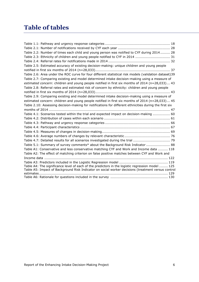# <span id="page-5-0"></span>**Table of tables**

| Table 2.2: Number of times each child and young person was notified to CYF during 2014 28              |
|--------------------------------------------------------------------------------------------------------|
| Table 2.3: Ethnicity of children and young people notified to CYF in 2014  31                          |
|                                                                                                        |
| Table 2.5: Estimated accuracy of existing decision-making: unique children and young people            |
|                                                                                                        |
| Table 2.6: Area under the ROC curve for four different statistical risk models (validation dataset)39  |
| Table 2.7: Comparing existing and model determined intake decision-making using a measure of           |
| estimated concern: children and young people notified in first six months of 2014 (n=28,033) 43        |
| Table 2.8: Referral rates and estimated risk of concern by ethnicity: children and young people        |
|                                                                                                        |
| Table 2.9: Comparing existing and model determined intake decision-making using a measure of           |
| estimated concern: children and young people notified in first six months of 2014 (n=28,033) 45        |
| Table 2.10: Assessing decision-making for notifications for different ethnicities during the first six |
|                                                                                                        |
| Table 4.1: Scenarios tested within the trial and expected impact on decision-making  60                |
|                                                                                                        |
|                                                                                                        |
|                                                                                                        |
|                                                                                                        |
|                                                                                                        |
| Table 4.7: Detailed results for all scenarios investigated during the trial  79                        |
| Table 5.1: Summary of survey comments* about the Background Risk Indicator  88                         |
| Table A1: Conservative and less conservative matching CYF and Work and Income data  118                |
| Table A2: The effect of matching criterion on false positive matches between CYF and Work and          |
|                                                                                                        |
|                                                                                                        |
| Table A4: The significance level of each of the predictors in the logistic regression model  125       |
| Table A5: Impact of Background Risk Indicator on social worker decisions (treatment versus control     |
|                                                                                                        |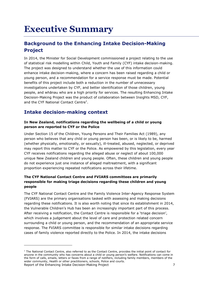# <span id="page-6-0"></span>**Executive Summary**

# <span id="page-6-1"></span>**Background to the Enhancing Intake Decision-Making Project**

In 2014, the Minister for Social Development commissioned a project relating to the use of statistical risk modelling within Child, Youth and Family (CYF) intake decision-making. The project was designed to understand whether the use of this information could enhance intake decision-making, where a concern has been raised regarding a child or young person, and a recommendation for a service response must be made. Potential benefits of this project include both a reduction in the number of unnecessary investigations undertaken by CYF, and better identification of those children, young people, and whānau who are a high priority for services. The resulting Enhancing Intake Decision-Making Project was the product of collaboration between Insights MSD, CYF, and the CYF National Contact Centre<sup>1</sup>.

# <span id="page-6-2"></span>**Intake decision-making context**

-

#### **In New Zealand, notifications regarding the wellbeing of a child or young person are reported to CYF or the Police**

Under Section 15 of the Children, Young Persons and Their Families Act (1989), any person who believes that any child or young person has been, or is likely to be, harmed (whether physically, emotionally, or sexually), ill-treated, abused, neglected, or deprived may report this matter to CYF or the Police. As empowered by this legislation, every year CYF receives notifications regarding the alleged abuse or neglect of about 100,000 unique New Zealand children and young people. Often, these children and young people do not experience just one instance of alleged maltreatment, with a significant proportion experiencing repeated notifications across their lifetime.

#### **The CYF National Contact Centre and FVIARS committees are primarily responsible for making triage decisions regarding these children and young people**

The CYF National Contact Centre and the Family Violence Inter-Agency Response System (FVIARS) are the primary organisations tasked with assessing and making decisions regarding these notifications. It is also worth noting that since its establishment in 2014, the Vulnerable Children's Hub has been an increasingly important part of this process. After receiving a notification, the Contact Centre is responsible for a 'triage decision', which involves a judgement about the level of care and protection related concern surrounding a child or young person, and the recommendation of an appropriate service response. The FVIARS committee is responsible for similar intake decisions regarding cases of family violence reported directly to the Police. In 2014, the intake decisions

Report of the Enhancing Intake Decision-Making Project 7 7  $1$  The National Contact Centre, also referred to as the Contact Centre, provides the initial point of contact for anyone in the community who has concerns about a child or young person's welfare. Notifications can come in the form of calls, emails, letters or faxes from a range of notifiers, including family members, members of the wider community, Health or other practitioners, schools, Police and courts.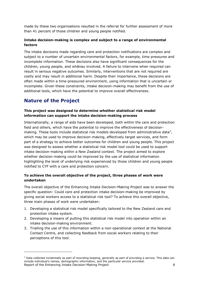made by these two organisations resulted in the referral for further assessment of more than 41 percent of those children and young people notified.

#### **Intake decision-making is complex and subject to a range of environmental factors**

The intake decisions made regarding care and protection notifications are complex and subject to a number of uncertain environmental factors, for example, time pressures and incomplete information. These decisions also have significant consequences for the children, young people, and whānau involved. A failure to intervene when required can result in serious negative outcomes. Similarly, interventions that are not required are costly and may result in additional harm. Despite their importance, these decisions are often made within a time-pressured environment, using information that is uncertain or incomplete. Given these constraints, intake decision-making may benefit from the use of additional tools, which have the potential to improve overall effectiveness.

# <span id="page-7-0"></span>**Nature of the Project**

-

#### **This project was designed to determine whether statistical risk model information can support the intake decision-making process**

Internationally, a range of aids have been developed, both within the care and protection field and others, which have the potential to improve the effectiveness of decisionmaking. These tools include statistical risk models developed from administrative data<sup>2</sup>, which may be used to improve decision-making, effectively target services, and form part of a strategy to achieve better outcomes for children and young people. This project was designed to assess whether a statistical risk model tool could be used to support intake decision-making within a New Zealand context. The project aimed to explore whether decision-making could be improved by the use of statistical information highlighting the level of underlying risk experienced by those children and young people notified to CYF with a care and protection concern.

#### **To achieve the overall objective of the project, three phases of work were undertaken**

The overall objective of the Enhancing Intake Decision-Making Project was to answer the specific question: Could care and protection intake decision-making be improved by giving social workers access to a statistical risk tool? To achieve this overall objective, three main phases of work were undertaken:

- 1. Developing a statistical risk model specifically tailored to the New Zealand care and protection intake system.
- 2. Developing a means of putting this statistical risk model into operation within an intake decision-making environment.
- 3. Trialling the use of this information within a non-operational context at the National Contact Centre, and collecting feedback from social workers relating to their perceptions of this tool.

Report of the Enhancing Intake Decision-Making Project 8 8  $2$  Data collected incidentally as part of recording keeping, generally as part of providing a service. This data can include individual's names, demographic information, and the particular service provided.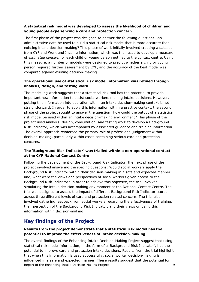#### **A statistical risk model was developed to assess the likelihood of children and young people experiencing a care and protection concern**

The first phase of the project was designed to answer the following question: Can administrative data be used to build a statistical risk model that is more accurate than existing intake decision-making? This phase of work initially involved creating a dataset from CYF and Work and Income information, which was then used to develop a measure of *estimated concern* for each child or young person notified to the contact centre. Using this measure, a number of models were designed to predict whether a child or young person required further assessment by CYF, and the accuracy of the best model was compared against existing decision-making.

#### **The operational use of statistical risk model information was refined through analysis, design, and testing work**

The modelling work suggests that a statistical risk tool has the potential to provide important new information to assist social workers making intake decisions. However, putting this information into operation within an intake decision-making context is not straightforward. In order to apply this information within a practice context, the second phase of the project sought to answer the question: How could the output of a statistical risk model be used within an intake decision-making environment? This phase of the project used analysis, design, consultation, and testing work to develop a Background Risk Indicator, which was accompanied by associated guidance and training information. The overall approach reinforced the primary role of professional judgement within decision-making, particularly within cases containing serious care and protection concerns.

#### **The 'Background Risk Indicator' was trialled within a non-operational context at the CYF National Contact Centre**

Following the development of the Background Risk Indicator, the next phase of the project involved answering the specific questions: Would social workers apply the Background Risk Indicator within their decision-making in a safe and expected manner; and, what were the views and perspectives of social workers given access to the Background Risk Indicator? In order to achieve this objective, the trial involved simulating the intake decision-making environment at the National Contact Centre. The trial was designed to assess the impact of different Background Risk Indicator scores across three different levels of care and protection related concern. The trial also involved gathering feedback from social workers regarding the effectiveness of training, their perception of the Background Risk Indicator, and their views on using this information within decision-making.

### <span id="page-8-0"></span>**Key findings of the Project**

#### **Results from the project demonstrate that a statistical risk model has the potential to improve the effectiveness of intake decision-making**

Report of the Enhancing Intake Decision-Making Project 9 The overall findings of the Enhancing Intake Decision-Making Project suggest that using statistical risk model information, in the form of a 'Background Risk Indicator', has the potential to improve care and protection intake decisions. Results from the trial highlight that when this information is used successfully, social worker decision-making is influenced in a safe and expected manner. These results suggest that the potential for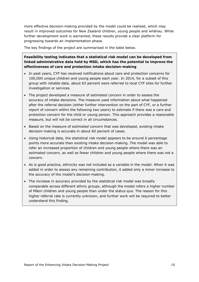more effective decision-making provided by the model could be realised, which may result in improved outcomes for New Zealand children, young people and whānau. While further development work is warranted, these results provide a clear platform for progressing towards an implementation phase.

The key findings of the project are summarised in the table below.

#### **Feasibility testing indicates that a statistical risk model can be developed from linked administrative data held by MSD, which has the potential to improve the effectiveness of care and protection intake decision-making**

- In past years, CYF has received notifications about care and protection concerns for 100,000 unique children and young people each year. In 2014, for a subset of this group with reliable data, about 63 percent were referred to local CYF sites for further investigation or services.
- The project developed a measure of *estimated concern* in order to assess the accuracy of intake decisions. The measure used information about what happened after the referral decision (either further intervention on the part of CYF, or a further report of concern within the following two years) to estimate if there was a care and protection concern for the child or young person. This approach provides a reasonable measure, but will not be correct in all circumstances.
- **Based on the measure of estimated concern that was developed, existing intake** decision-making is accurate in about 60 percent of cases.
- Using historical data, the statistical risk model appears to be around 6 percentage points more accurate than existing intake decision-making. The model was able to refer an increased proportion of children and young people where there was an *estimated concern*, as well as fewer children and young people where there was not a concern.
- As is good practice, ethnicity was not included as a variable in the model. When it was added in order to assess any remaining contribution, it added only a minor increase to the accuracy of the model's decision-making.
- The increase in accuracy provided by the statistical risk model was broadly comparable across different ethnic groups, although the model refers a higher number of Māori children and young people than under the status quo. The reason for this higher referral rate is currently unknown, and further work will be required to better understand this finding.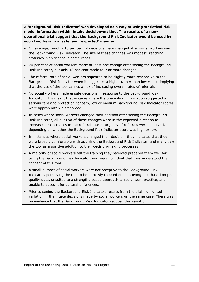**A 'Background Risk Indicator' was developed as a way of using statistical risk model information within intake decision-making. The results of a nonoperational trial suggest that the Background Risk Indicator would be used by social workers in a 'safe' and 'expected' manner**

- On average, roughly 15 per cent of decisions were changed after social workers saw the Background Risk Indicator. The size of these changes was modest, reaching statistical significance in some cases.
- 74 per cent of social workers made at least one change after seeing the Background Risk Indicator, but only 13 per cent made four or more changes.
- The referral rate of social workers appeared to be slightly more responsive to the Background Risk Indicator when it suggested a higher rather than lower risk, implying that the use of the tool carries a risk of increasing overall rates of referrals.
- No social workers made unsafe decisions in response to the Background Risk Indicator. This meant that in cases where the presenting information suggested a serious care and protection concern, low or medium Background Risk Indicator scores were appropriately disregarded.
- In cases where social workers changed their decision after seeing the Background Risk Indicator, all but two of these changes were in the expected direction ie increases or decreases in the referral rate or urgency of referrals were observed, depending on whether the Background Risk Indicator score was high or low.
- In instances where social workers changed their decision, they indicated that they were broadly comfortable with applying the Background Risk Indicator, and many saw the tool as a positive addition to their decision-making processes.
- A majority of social workers felt the training they received prepared them well for using the Background Risk Indicator, and were confident that they understood the concept of this tool.
- A small number of social workers were not receptive to the Background Risk Indicator, perceiving the tool to be narrowly focused on identifying risk, based on poor quality data, unsuited to a strengths-based approach to social work practice, and unable to account for cultural differences.
- Prior to seeing the Background Risk Indicator, results from the trial highlighted variation in the intake decisions made by social workers on the same case. There was no evidence that the Background Risk Indicator reduced this variation.